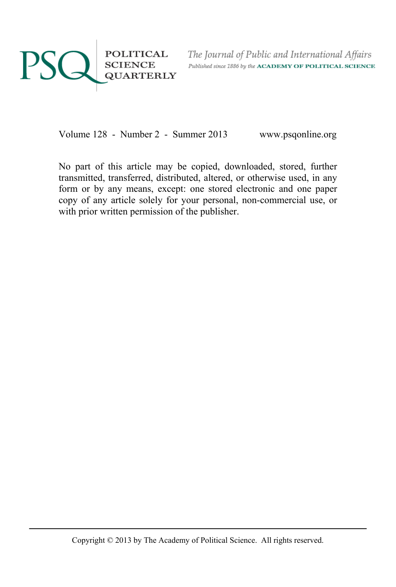

The Journal of Public and International Affairs Published since 1886 by the **ACADEMY OF POLITICAL SCIENCE** 

Volume 128 - Number 2 - Summer 2013 www.psqonline.org

No part of this article may be copied, downloaded, stored, further transmitted, transferred, distributed, altered, or otherwise used, in any form or by any means, except: one stored electronic and one paper copy of any article solely for your personal, non-commercial use, or with prior written permission of the publisher.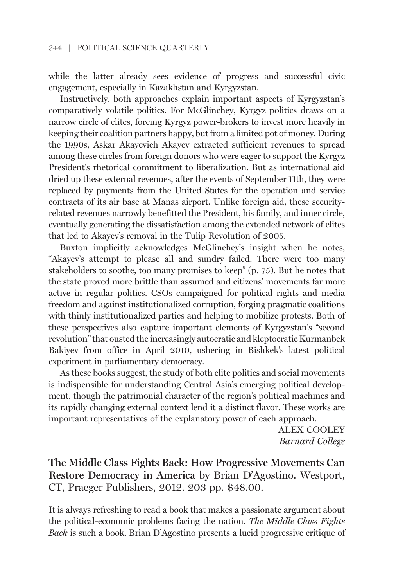while the latter already sees evidence of progress and successful civic engagement, especially in Kazakhstan and Kyrgyzstan.

Instructively, both approaches explain important aspects of Kyrgyzstan's comparatively volatile politics. For McGlinchey, Kyrgyz politics draws on a narrow circle of elites, forcing Kyrgyz power‐brokers to invest more heavily in keeping their coalition partners happy, but from a limited pot of money. During the 1990s, Askar Akayevich Akayev extracted sufficient revenues to spread among these circles from foreign donors who were eager to support the Kyrgyz President's rhetorical commitment to liberalization. But as international aid dried up these external revenues, after the events of September 11th, they were replaced by payments from the United States for the operation and service contracts of its air base at Manas airport. Unlike foreign aid, these security‐ related revenues narrowly benefitted the President, his family, and inner circle, eventually generating the dissatisfaction among the extended network of elites that led to Akayev's removal in the Tulip Revolution of 2005.

Buxton implicitly acknowledges McGlinchey's insight when he notes, "Akayev's attempt to please all and sundry failed. There were too many stakeholders to soothe, too many promises to keep" (p. 75). But he notes that the state proved more brittle than assumed and citizens' movements far more active in regular politics. CSOs campaigned for political rights and media freedom and against institutionalized corruption, forging pragmatic coalitions with thinly institutionalized parties and helping to mobilize protests. Both of these perspectives also capture important elements of Kyrgyzstan's "second revolution" that ousted the increasingly autocratic and kleptocratic Kurmanbek Bakiyev from office in April 2010, ushering in Bishkek's latest political experiment in parliamentary democracy.

As these books suggest, the study of both elite politics and social movements is indispensible for understanding Central Asia's emerging political development, though the patrimonial character of the region's political machines and its rapidly changing external context lend it a distinct flavor. These works are important representatives of the explanatory power of each approach.

> ALEX COOLEY Barnard College

The Middle Class Fights Back: How Progressive Movements Can Restore Democracy in America by Brian D'Agostino. Westport, CT, Praeger Publishers, 2012. 203 pp. \$48.00.

It is always refreshing to read a book that makes a passionate argument about the political-economic problems facing the nation. The Middle Class Fights Back is such a book. Brian D'Agostino presents a lucid progressive critique of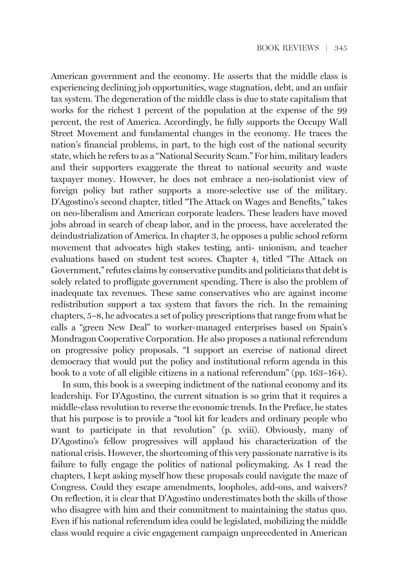American government and the economy. He asserts that the middle class is experiencing declining job opportunities, wage stagnation, debt, and an unfair tax system. The degeneration of the middle class is due to state capitalism that works for the richest 1 percent of the population at the expense of the 99 percent, the rest of America. Accordingly, he fully supports the Occupy Wall Street Movement and fundamental changes in the economy. He traces the nation's financial problems, in part, to the high cost of the national security state, which he refers to as a "National Security Scam." For him, military leaders and their supporters exaggerate the threat to national security and waste taxpayer money. However, he does not embrace a neo‐isolationist view of foreign policy but rather supports a more-selective use of the military. D'Agostino's second chapter, titled "The Attack on Wages and Benefits," takes on neo‐liberalism and American corporate leaders. These leaders have moved jobs abroad in search of cheap labor, and in the process, have accelerated the deindustrialization of America. In chapter 3, he opposes a public school reform movement that advocates high stakes testing, anti‐ unionism, and teacher evaluations based on student test scores. Chapter 4, titled "The Attack on Government," refutes claims by conservative pundits and politicians that debt is solely related to profligate government spending. There is also the problem of inadequate tax revenues. These same conservatives who are against income redistribution support a tax system that favors the rich. In the remaining chapters, 5–8, he advocates a set of policy prescriptions that range from what he calls a "green New Deal" to worker‐managed enterprises based on Spain's Mondragon Cooperative Corporation. He also proposes a national referendum on progressive policy proposals. "I support an exercise of national direct democracy that would put the policy and institutional reform agenda in this book to a vote of all eligible citizens in a national referendum" (pp. 163–164).

In sum, this book is a sweeping indictment of the national economy and its leadership. For D'Agostino, the current situation is so grim that it requires a middle‐class revolution to reverse the economic trends. In the Preface, he states that his purpose is to provide a "tool kit for leaders and ordinary people who want to participate in that revolution" (p. xviii). Obviously, many of D'Agostino's fellow progressives will applaud his characterization of the national crisis. However, the shortcoming of this very passionate narrative is its failure to fully engage the politics of national policymaking. As I read the chapters, I kept asking myself how these proposals could navigate the maze of Congress. Could they escape amendments, loopholes, add‐ons, and waivers? On reflection, it is clear that D'Agostino underestimates both the skills of those who disagree with him and their commitment to maintaining the status quo. Even if his national referendum idea could be legislated, mobilizing the middle class would require a civic engagement campaign unprecedented in American